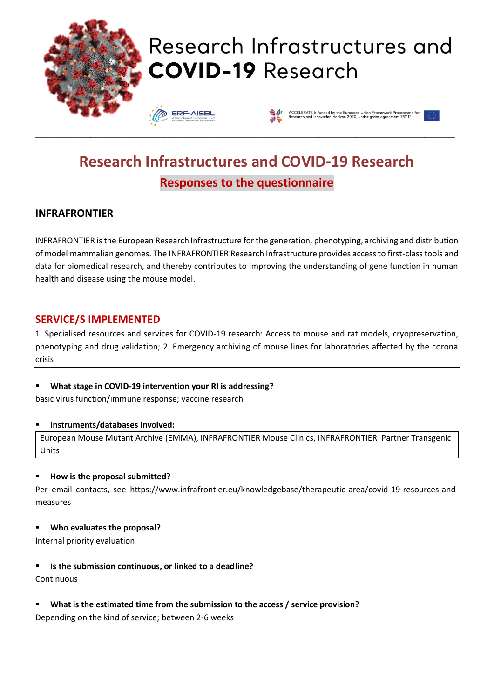

# **Research Infrastructures and COVID-19 Research Responses to the questionnaire**

## **INFRAFRONTIER**

INFRAFRONTIER is the European Research Infrastructure for the generation, phenotyping, archiving and distribution of model mammalian genomes. The INFRAFRONTIER Research Infrastructure provides access to first-class tools and data for biomedical research, and thereby contributes to improving the understanding of gene function in human health and disease using the mouse model.

### **SERVICE/S IMPLEMENTED**

1. Specialised resources and services for COVID-19 research: Access to mouse and rat models, cryopreservation, phenotyping and drug validation; 2. Emergency archiving of mouse lines for laboratories affected by the corona crisis

What stage in COVID-19 intervention your RI is addressing?

basic virus function/immune response; vaccine research

#### ▪ **Instruments/databases involved:**

European Mouse Mutant Archive (EMMA), INFRAFRONTIER Mouse Clinics, INFRAFRONTIER Partner Transgenic Units

#### ▪ **How is the proposal submitted?**

Per email contacts, see https://www.infrafrontier.eu/knowledgebase/therapeutic-area/covid-19-resources-andmeasures

▪ **Who evaluates the proposal?** 

Internal priority evaluation

▪ **Is the submission continuous, or linked to a deadline?**

**Continuous** 

▪ **What is the estimated time from the submission to the access / service provision?**

Depending on the kind of service; between 2-6 weeks